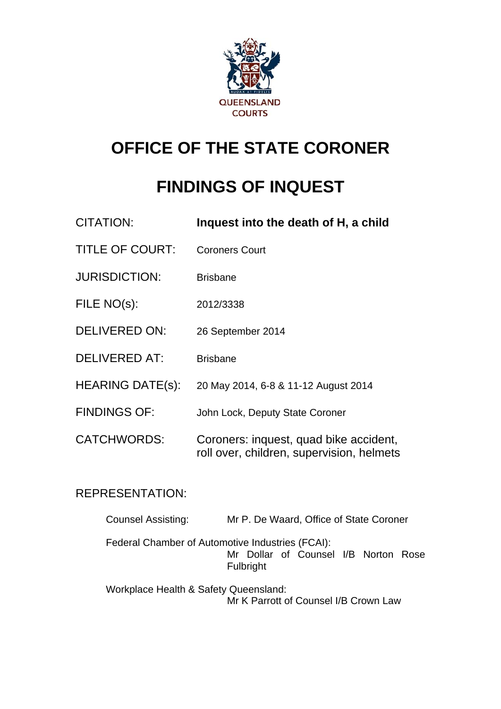

# **OFFICE OF THE STATE CORONER**

# **FINDINGS OF INQUEST**

| <b>CITATION:</b>        | Inquest into the death of H, a child                                                |
|-------------------------|-------------------------------------------------------------------------------------|
| <b>TITLE OF COURT:</b>  | <b>Coroners Court</b>                                                               |
| <b>JURISDICTION:</b>    | <b>Brisbane</b>                                                                     |
| FILE NO(s):             | 2012/3338                                                                           |
| <b>DELIVERED ON:</b>    | 26 September 2014                                                                   |
| <b>DELIVERED AT:</b>    | <b>Brisbane</b>                                                                     |
| <b>HEARING DATE(s):</b> | 20 May 2014, 6-8 & 11-12 August 2014                                                |
| <b>FINDINGS OF:</b>     | John Lock, Deputy State Coroner                                                     |
| <b>CATCHWORDS:</b>      | Coroners: inquest, quad bike accident,<br>roll over, children, supervision, helmets |

## REPRESENTATION:

| <b>Counsel Assisting:</b>             | Mr P. De Waard, Office of State Coroner                                                               |
|---------------------------------------|-------------------------------------------------------------------------------------------------------|
|                                       | Federal Chamber of Automotive Industries (FCAI):<br>Mr Dollar of Counsel I/B Norton Rose<br>Fulbright |
| Workplace Health & Safety Queensland: | Mr K Parrott of Counsel I/B Crown Law                                                                 |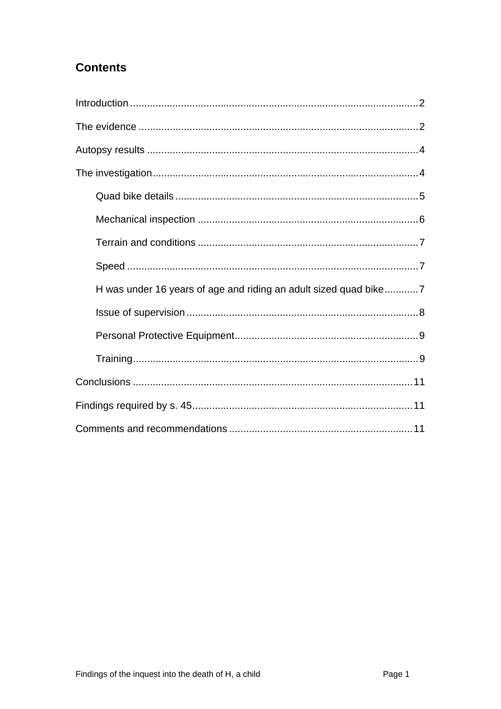# **Contents**

<span id="page-1-0"></span>

| H was under 16 years of age and riding an adult sized quad bike7 |
|------------------------------------------------------------------|
|                                                                  |
|                                                                  |
|                                                                  |
|                                                                  |
|                                                                  |
|                                                                  |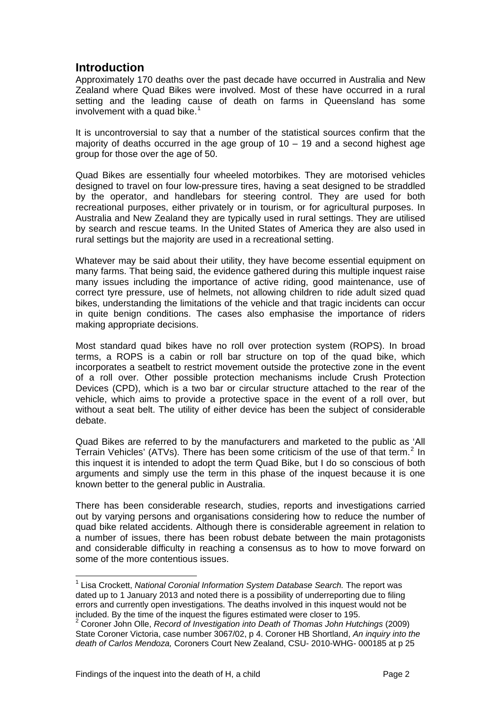## <span id="page-2-0"></span>**Introduction**

Approximately 170 deaths over the past decade have occurred in Australia and New Zealand where Quad Bikes were involved. Most of these have occurred in a rural setting and the leading cause of death on farms in Queensland has some involvement with a quad bike.<sup>[1](#page-1-0)</sup>

It is uncontroversial to say that a number of the statistical sources confirm that the majority of deaths occurred in the age group of  $10 - 19$  and a second highest age group for those over the age of 50.

Quad Bikes are essentially four wheeled motorbikes. They are motorised vehicles designed to travel on four low-pressure tires, having a seat designed to be straddled by the operator, and handlebars for steering control. They are used for both recreational purposes, either privately or in tourism, or for agricultural purposes. In Australia and New Zealand they are typically used in rural settings. They are utilised by search and rescue teams. In the United States of America they are also used in rural settings but the majority are used in a recreational setting.

Whatever may be said about their utility, they have become essential equipment on many farms. That being said, the evidence gathered during this multiple inquest raise many issues including the importance of active riding, good maintenance, use of correct tyre pressure, use of helmets, not allowing children to ride adult sized quad bikes, understanding the limitations of the vehicle and that tragic incidents can occur in quite benign conditions. The cases also emphasise the importance of riders making appropriate decisions.

Most standard quad bikes have no roll over protection system (ROPS). In broad terms, a ROPS is a cabin or roll bar structure on top of the quad bike, which incorporates a seatbelt to restrict movement outside the protective zone in the event of a roll over. Other possible protection mechanisms include Crush Protection Devices (CPD), which is a two bar or circular structure attached to the rear of the vehicle, which aims to provide a protective space in the event of a roll over, but without a seat belt. The utility of either device has been the subject of considerable debate.

Quad Bikes are referred to by the manufacturers and marketed to the public as 'All Terrain Vehicles' (ATVs). There has been some criticism of the use of that term.<sup>[2](#page-2-1)</sup> In this inquest it is intended to adopt the term Quad Bike, but I do so conscious of both arguments and simply use the term in this phase of the inquest because it is one known better to the general public in Australia.

There has been considerable research, studies, reports and investigations carried out by varying persons and organisations considering how to reduce the number of quad bike related accidents. Although there is considerable agreement in relation to a number of issues, there has been robust debate between the main protagonists and considerable difficulty in reaching a consensus as to how to move forward on some of the more contentious issues.

l

<sup>&</sup>lt;sup>1</sup> Lisa Crockett, *National Coronial Information System Database Search.* The report was dated up to 1 January 2013 and noted there is a possibility of underreporting due to filing errors and currently open investigations. The deaths involved in this inquest would not be included. By the time of the inquest the figures estimated were closer to 195. 2

<span id="page-2-1"></span><sup>&</sup>lt;sup>2</sup> Coroner John Olle, *Record of Investigation into Death of Thomas John Hutchings (2009)* State Coroner Victoria, case number 3067/02, p 4. Coroner HB Shortland, *An inquiry into the death of Carlos Mendoza,* Coroners Court New Zealand, CSU- 2010-WHG- 000185 at p 25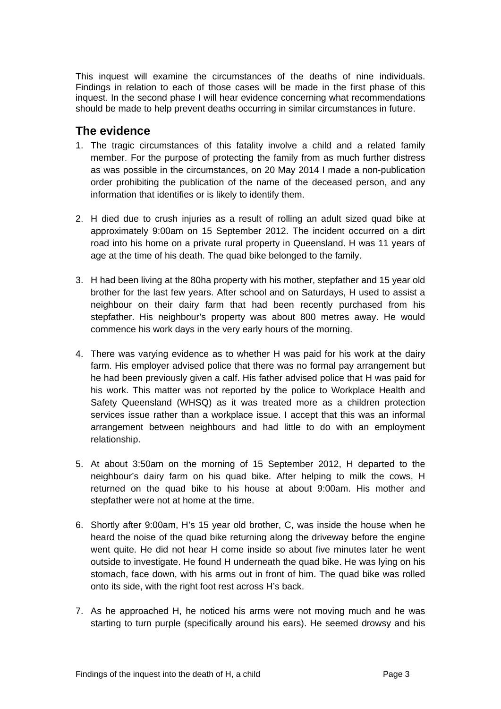<span id="page-3-0"></span>This inquest will examine the circumstances of the deaths of nine individuals. Findings in relation to each of those cases will be made in the first phase of this inquest. In the second phase I will hear evidence concerning what recommendations should be made to help prevent deaths occurring in similar circumstances in future.

## **The evidence**

- 1. The tragic circumstances of this fatality involve a child and a related family member. For the purpose of protecting the family from as much further distress as was possible in the circumstances, on 20 May 2014 I made a non-publication order prohibiting the publication of the name of the deceased person, and any information that identifies or is likely to identify them.
- 2. H died due to crush injuries as a result of rolling an adult sized quad bike at approximately 9:00am on 15 September 2012. The incident occurred on a dirt road into his home on a private rural property in Queensland. H was 11 years of age at the time of his death. The quad bike belonged to the family.
- 3. H had been living at the 80ha property with his mother, stepfather and 15 year old brother for the last few years. After school and on Saturdays, H used to assist a neighbour on their dairy farm that had been recently purchased from his stepfather. His neighbour's property was about 800 metres away. He would commence his work days in the very early hours of the morning.
- 4. There was varying evidence as to whether H was paid for his work at the dairy farm. His employer advised police that there was no formal pay arrangement but he had been previously given a calf. His father advised police that H was paid for his work. This matter was not reported by the police to Workplace Health and Safety Queensland (WHSQ) as it was treated more as a children protection services issue rather than a workplace issue. I accept that this was an informal arrangement between neighbours and had little to do with an employment relationship.
- 5. At about 3:50am on the morning of 15 September 2012, H departed to the neighbour's dairy farm on his quad bike. After helping to milk the cows, H returned on the quad bike to his house at about 9:00am. His mother and stepfather were not at home at the time.
- 6. Shortly after 9:00am, H's 15 year old brother, C, was inside the house when he heard the noise of the quad bike returning along the driveway before the engine went quite. He did not hear H come inside so about five minutes later he went outside to investigate. He found H underneath the quad bike. He was lying on his stomach, face down, with his arms out in front of him. The quad bike was rolled onto its side, with the right foot rest across H's back.
- 7. As he approached H, he noticed his arms were not moving much and he was starting to turn purple (specifically around his ears). He seemed drowsy and his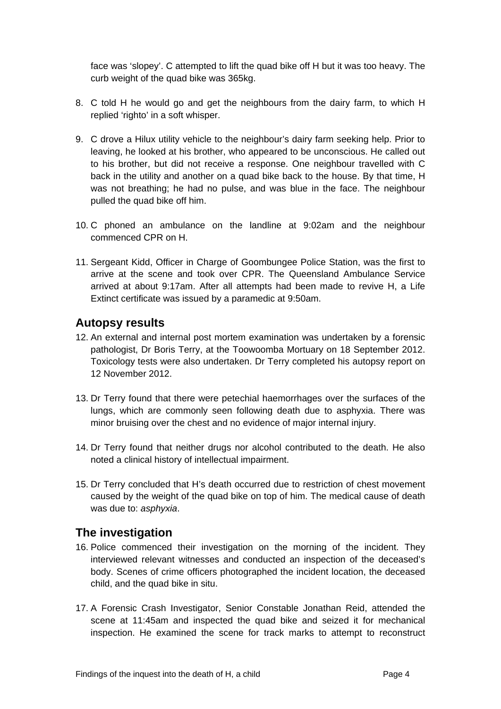face was 'slopey'. C attempted to lift the quad bike off H but it was too heavy. The curb weight of the quad bike was 365kg.

- 8. C told H he would go and get the neighbours from the dairy farm, to which H replied 'righto' in a soft whisper.
- 9. C drove a Hilux utility vehicle to the neighbour's dairy farm seeking help. Prior to leaving, he looked at his brother, who appeared to be unconscious. He called out to his brother, but did not receive a response. One neighbour travelled with C back in the utility and another on a quad bike back to the house. By that time, H was not breathing; he had no pulse, and was blue in the face. The neighbour pulled the quad bike off him.
- 10. C phoned an ambulance on the landline at 9:02am and the neighbour commenced CPR on H.
- 11. Sergeant Kidd, Officer in Charge of Goombungee Police Station, was the first to arrive at the scene and took over CPR. The Queensland Ambulance Service arrived at about 9:17am. After all attempts had been made to revive H, a Life Extinct certificate was issued by a paramedic at 9:50am.

#### <span id="page-4-0"></span>**Autopsy results**

- 12. An external and internal post mortem examination was undertaken by a forensic pathologist, Dr Boris Terry, at the Toowoomba Mortuary on 18 September 2012. Toxicology tests were also undertaken. Dr Terry completed his autopsy report on 12 November 2012.
- 13. Dr Terry found that there were petechial haemorrhages over the surfaces of the lungs, which are commonly seen following death due to asphyxia. There was minor bruising over the chest and no evidence of major internal injury.
- 14. Dr Terry found that neither drugs nor alcohol contributed to the death. He also noted a clinical history of intellectual impairment.
- 15. Dr Terry concluded that H's death occurred due to restriction of chest movement caused by the weight of the quad bike on top of him. The medical cause of death was due to: *asphyxia*.

## <span id="page-4-1"></span>**The investigation**

- 16. Police commenced their investigation on the morning of the incident. They interviewed relevant witnesses and conducted an inspection of the deceased's body. Scenes of crime officers photographed the incident location, the deceased child, and the quad bike in situ.
- 17. A Forensic Crash Investigator, Senior Constable Jonathan Reid, attended the scene at 11:45am and inspected the quad bike and seized it for mechanical inspection. He examined the scene for track marks to attempt to reconstruct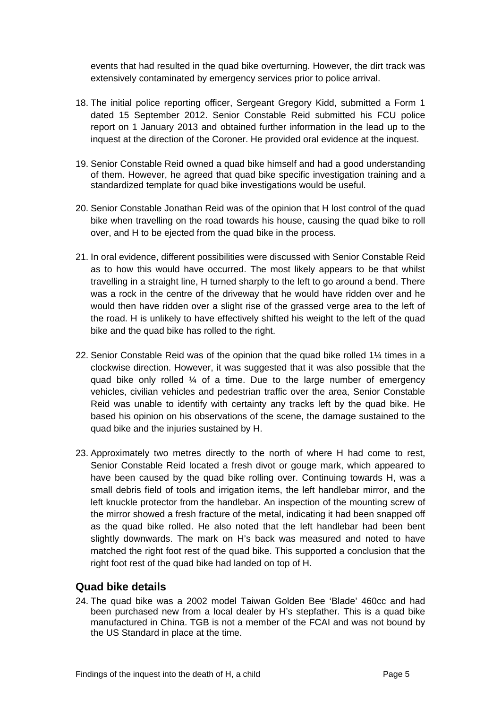events that had resulted in the quad bike overturning. However, the dirt track was extensively contaminated by emergency services prior to police arrival.

- 18. The initial police reporting officer, Sergeant Gregory Kidd, submitted a Form 1 dated 15 September 2012. Senior Constable Reid submitted his FCU police report on 1 January 2013 and obtained further information in the lead up to the inquest at the direction of the Coroner. He provided oral evidence at the inquest.
- 19. Senior Constable Reid owned a quad bike himself and had a good understanding of them. However, he agreed that quad bike specific investigation training and a standardized template for quad bike investigations would be useful.
- 20. Senior Constable Jonathan Reid was of the opinion that H lost control of the quad bike when travelling on the road towards his house, causing the quad bike to roll over, and H to be ejected from the quad bike in the process.
- 21. In oral evidence, different possibilities were discussed with Senior Constable Reid as to how this would have occurred. The most likely appears to be that whilst travelling in a straight line, H turned sharply to the left to go around a bend. There was a rock in the centre of the driveway that he would have ridden over and he would then have ridden over a slight rise of the grassed verge area to the left of the road. H is unlikely to have effectively shifted his weight to the left of the quad bike and the quad bike has rolled to the right.
- 22. Senior Constable Reid was of the opinion that the quad bike rolled 1¼ times in a clockwise direction. However, it was suggested that it was also possible that the quad bike only rolled  $\frac{1}{4}$  of a time. Due to the large number of emergency vehicles, civilian vehicles and pedestrian traffic over the area, Senior Constable Reid was unable to identify with certainty any tracks left by the quad bike. He based his opinion on his observations of the scene, the damage sustained to the quad bike and the injuries sustained by H.
- 23. Approximately two metres directly to the north of where H had come to rest, Senior Constable Reid located a fresh divot or gouge mark, which appeared to have been caused by the quad bike rolling over. Continuing towards H, was a small debris field of tools and irrigation items, the left handlebar mirror, and the left knuckle protector from the handlebar. An inspection of the mounting screw of the mirror showed a fresh fracture of the metal, indicating it had been snapped off as the quad bike rolled. He also noted that the left handlebar had been bent slightly downwards. The mark on H's back was measured and noted to have matched the right foot rest of the quad bike. This supported a conclusion that the right foot rest of the quad bike had landed on top of H.

## <span id="page-5-0"></span>**Quad bike details**

24. The quad bike was a 2002 model Taiwan Golden Bee 'Blade' 460cc and had been purchased new from a local dealer by H's stepfather. This is a quad bike manufactured in China. TGB is not a member of the FCAI and was not bound by the US Standard in place at the time.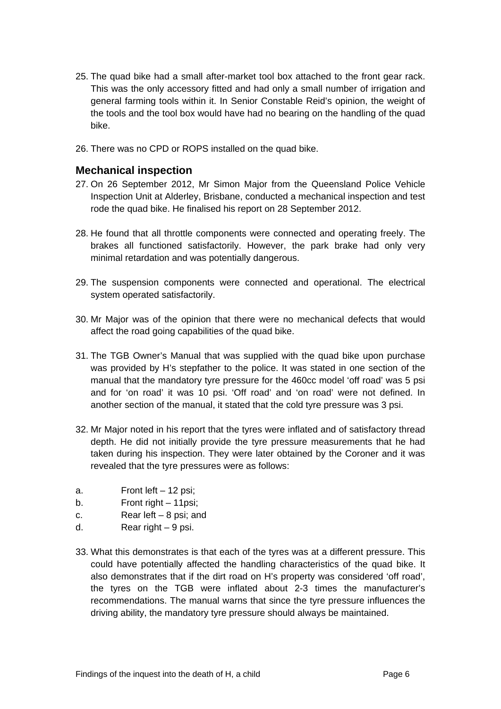- 25. The quad bike had a small after-market tool box attached to the front gear rack. This was the only accessory fitted and had only a small number of irrigation and general farming tools within it. In Senior Constable Reid's opinion, the weight of the tools and the tool box would have had no bearing on the handling of the quad bike.
- 26. There was no CPD or ROPS installed on the quad bike.

#### <span id="page-6-0"></span>**Mechanical inspection**

- 27. On 26 September 2012, Mr Simon Major from the Queensland Police Vehicle Inspection Unit at Alderley, Brisbane, conducted a mechanical inspection and test rode the quad bike. He finalised his report on 28 September 2012.
- 28. He found that all throttle components were connected and operating freely. The brakes all functioned satisfactorily. However, the park brake had only very minimal retardation and was potentially dangerous.
- 29. The suspension components were connected and operational. The electrical system operated satisfactorily.
- 30. Mr Major was of the opinion that there were no mechanical defects that would affect the road going capabilities of the quad bike.
- 31. The TGB Owner's Manual that was supplied with the quad bike upon purchase was provided by H's stepfather to the police. It was stated in one section of the manual that the mandatory tyre pressure for the 460cc model 'off road' was 5 psi and for 'on road' it was 10 psi. 'Off road' and 'on road' were not defined. In another section of the manual, it stated that the cold tyre pressure was 3 psi.
- 32. Mr Major noted in his report that the tyres were inflated and of satisfactory thread depth. He did not initially provide the tyre pressure measurements that he had taken during his inspection. They were later obtained by the Coroner and it was revealed that the tyre pressures were as follows:
- a. Front left 12 psi;
- b. Front right 11psi:
- c. Rear left 8 psi; and
- d. Rear right 9 psi.
- 33. What this demonstrates is that each of the tyres was at a different pressure. This could have potentially affected the handling characteristics of the quad bike. It also demonstrates that if the dirt road on H's property was considered 'off road', the tyres on the TGB were inflated about 2-3 times the manufacturer's recommendations. The manual warns that since the tyre pressure influences the driving ability, the mandatory tyre pressure should always be maintained.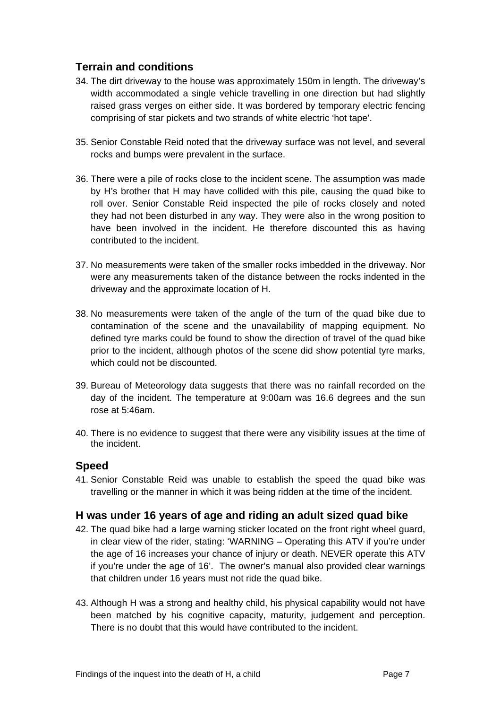## <span id="page-7-0"></span>**Terrain and conditions**

- 34. The dirt driveway to the house was approximately 150m in length. The driveway's width accommodated a single vehicle travelling in one direction but had slightly raised grass verges on either side. It was bordered by temporary electric fencing comprising of star pickets and two strands of white electric 'hot tape'.
- 35. Senior Constable Reid noted that the driveway surface was not level, and several rocks and bumps were prevalent in the surface.
- 36. There were a pile of rocks close to the incident scene. The assumption was made by H's brother that H may have collided with this pile, causing the quad bike to roll over. Senior Constable Reid inspected the pile of rocks closely and noted they had not been disturbed in any way. They were also in the wrong position to have been involved in the incident. He therefore discounted this as having contributed to the incident.
- 37. No measurements were taken of the smaller rocks imbedded in the driveway. Nor were any measurements taken of the distance between the rocks indented in the driveway and the approximate location of H.
- 38. No measurements were taken of the angle of the turn of the quad bike due to contamination of the scene and the unavailability of mapping equipment. No defined tyre marks could be found to show the direction of travel of the quad bike prior to the incident, although photos of the scene did show potential tyre marks, which could not be discounted.
- 39. Bureau of Meteorology data suggests that there was no rainfall recorded on the day of the incident. The temperature at 9:00am was 16.6 degrees and the sun rose at 5:46am.
- 40. There is no evidence to suggest that there were any visibility issues at the time of the incident.

## <span id="page-7-1"></span>**Speed**

41. Senior Constable Reid was unable to establish the speed the quad bike was travelling or the manner in which it was being ridden at the time of the incident.

## <span id="page-7-2"></span>**H was under 16 years of age and riding an adult sized quad bike**

- 42. The quad bike had a large warning sticker located on the front right wheel guard, in clear view of the rider, stating: 'WARNING – Operating this ATV if you're under the age of 16 increases your chance of injury or death. NEVER operate this ATV if you're under the age of 16'. The owner's manual also provided clear warnings that children under 16 years must not ride the quad bike.
- 43. Although H was a strong and healthy child, his physical capability would not have been matched by his cognitive capacity, maturity, judgement and perception. There is no doubt that this would have contributed to the incident.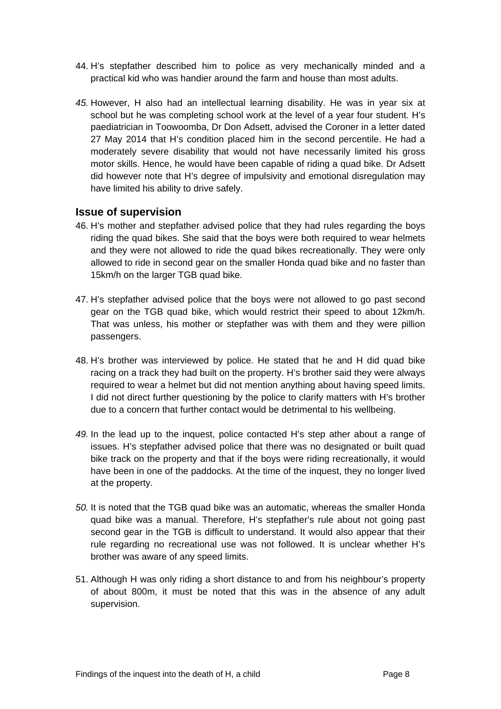- 44. H's stepfather described him to police as very mechanically minded and a practical kid who was handier around the farm and house than most adults.
- *45.* However, H also had an intellectual learning disability. He was in year six at school but he was completing school work at the level of a year four student. H's paediatrician in Toowoomba, Dr Don Adsett, advised the Coroner in a letter dated 27 May 2014 that H's condition placed him in the second percentile. He had a moderately severe disability that would not have necessarily limited his gross motor skills. Hence, he would have been capable of riding a quad bike. Dr Adsett did however note that H's degree of impulsivity and emotional disregulation may have limited his ability to drive safely.

#### <span id="page-8-0"></span>**Issue of supervision**

- 46. H's mother and stepfather advised police that they had rules regarding the boys riding the quad bikes. She said that the boys were both required to wear helmets and they were not allowed to ride the quad bikes recreationally. They were only allowed to ride in second gear on the smaller Honda quad bike and no faster than 15km/h on the larger TGB quad bike.
- 47. H's stepfather advised police that the boys were not allowed to go past second gear on the TGB quad bike, which would restrict their speed to about 12km/h. That was unless, his mother or stepfather was with them and they were pillion passengers.
- 48. H's brother was interviewed by police. He stated that he and H did quad bike racing on a track they had built on the property. H's brother said they were always required to wear a helmet but did not mention anything about having speed limits. I did not direct further questioning by the police to clarify matters with H's brother due to a concern that further contact would be detrimental to his wellbeing.
- *49.* In the lead up to the inquest, police contacted H's step ather about a range of issues. H's stepfather advised police that there was no designated or built quad bike track on the property and that if the boys were riding recreationally, it would have been in one of the paddocks. At the time of the inquest, they no longer lived at the property.
- *50.* It is noted that the TGB quad bike was an automatic, whereas the smaller Honda quad bike was a manual. Therefore, H's stepfather's rule about not going past second gear in the TGB is difficult to understand. It would also appear that their rule regarding no recreational use was not followed. It is unclear whether H's brother was aware of any speed limits.
- 51. Although H was only riding a short distance to and from his neighbour's property of about 800m, it must be noted that this was in the absence of any adult supervision.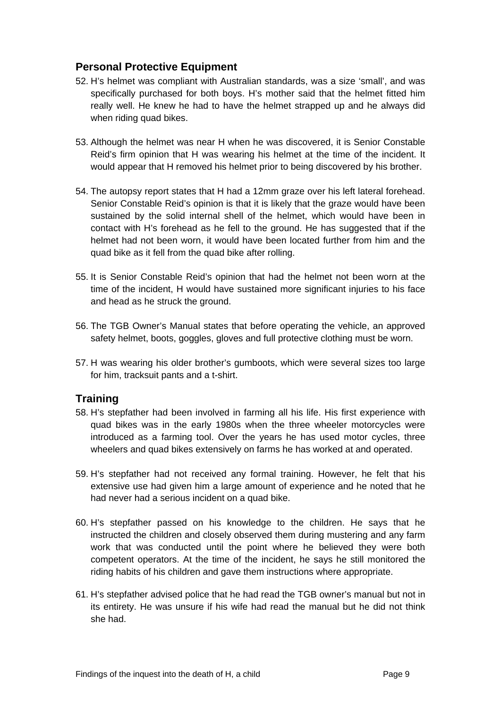## <span id="page-9-0"></span>**Personal Protective Equipment**

- 52. H's helmet was compliant with Australian standards, was a size 'small', and was specifically purchased for both boys. H's mother said that the helmet fitted him really well. He knew he had to have the helmet strapped up and he always did when riding quad bikes.
- 53. Although the helmet was near H when he was discovered, it is Senior Constable Reid's firm opinion that H was wearing his helmet at the time of the incident. It would appear that H removed his helmet prior to being discovered by his brother.
- 54. The autopsy report states that H had a 12mm graze over his left lateral forehead. Senior Constable Reid's opinion is that it is likely that the graze would have been sustained by the solid internal shell of the helmet, which would have been in contact with H's forehead as he fell to the ground. He has suggested that if the helmet had not been worn, it would have been located further from him and the quad bike as it fell from the quad bike after rolling.
- 55. It is Senior Constable Reid's opinion that had the helmet not been worn at the time of the incident, H would have sustained more significant injuries to his face and head as he struck the ground.
- 56. The TGB Owner's Manual states that before operating the vehicle, an approved safety helmet, boots, goggles, gloves and full protective clothing must be worn.
- 57. H was wearing his older brother's gumboots, which were several sizes too large for him, tracksuit pants and a t-shirt.

## <span id="page-9-1"></span>**Training**

- 58. H's stepfather had been involved in farming all his life. His first experience with quad bikes was in the early 1980s when the three wheeler motorcycles were introduced as a farming tool. Over the years he has used motor cycles, three wheelers and quad bikes extensively on farms he has worked at and operated.
- 59. H's stepfather had not received any formal training. However, he felt that his extensive use had given him a large amount of experience and he noted that he had never had a serious incident on a quad bike.
- 60. H's stepfather passed on his knowledge to the children. He says that he instructed the children and closely observed them during mustering and any farm work that was conducted until the point where he believed they were both competent operators. At the time of the incident, he says he still monitored the riding habits of his children and gave them instructions where appropriate.
- 61. H's stepfather advised police that he had read the TGB owner's manual but not in its entirety. He was unsure if his wife had read the manual but he did not think she had.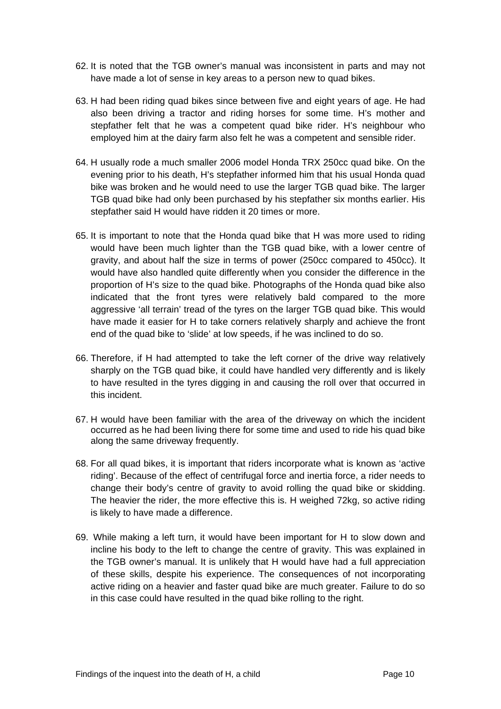- 62. It is noted that the TGB owner's manual was inconsistent in parts and may not have made a lot of sense in key areas to a person new to quad bikes.
- 63. H had been riding quad bikes since between five and eight years of age. He had also been driving a tractor and riding horses for some time. H's mother and stepfather felt that he was a competent quad bike rider. H's neighbour who employed him at the dairy farm also felt he was a competent and sensible rider.
- 64. H usually rode a much smaller 2006 model Honda TRX 250cc quad bike. On the evening prior to his death, H's stepfather informed him that his usual Honda quad bike was broken and he would need to use the larger TGB quad bike. The larger TGB quad bike had only been purchased by his stepfather six months earlier. His stepfather said H would have ridden it 20 times or more.
- 65. It is important to note that the Honda quad bike that H was more used to riding would have been much lighter than the TGB quad bike, with a lower centre of gravity, and about half the size in terms of power (250cc compared to 450cc). It would have also handled quite differently when you consider the difference in the proportion of H's size to the quad bike. Photographs of the Honda quad bike also indicated that the front tyres were relatively bald compared to the more aggressive 'all terrain' tread of the tyres on the larger TGB quad bike. This would have made it easier for H to take corners relatively sharply and achieve the front end of the quad bike to 'slide' at low speeds, if he was inclined to do so.
- 66. Therefore, if H had attempted to take the left corner of the drive way relatively sharply on the TGB quad bike, it could have handled very differently and is likely to have resulted in the tyres digging in and causing the roll over that occurred in this incident.
- 67. H would have been familiar with the area of the driveway on which the incident occurred as he had been living there for some time and used to ride his quad bike along the same driveway frequently.
- 68. For all quad bikes, it is important that riders incorporate what is known as 'active riding'. Because of the effect of centrifugal force and inertia force, a rider needs to change their body's centre of gravity to avoid rolling the quad bike or skidding. The heavier the rider, the more effective this is. H weighed 72kg, so active riding is likely to have made a difference.
- 69. While making a left turn, it would have been important for H to slow down and incline his body to the left to change the centre of gravity. This was explained in the TGB owner's manual. It is unlikely that H would have had a full appreciation of these skills, despite his experience. The consequences of not incorporating active riding on a heavier and faster quad bike are much greater. Failure to do so in this case could have resulted in the quad bike rolling to the right.